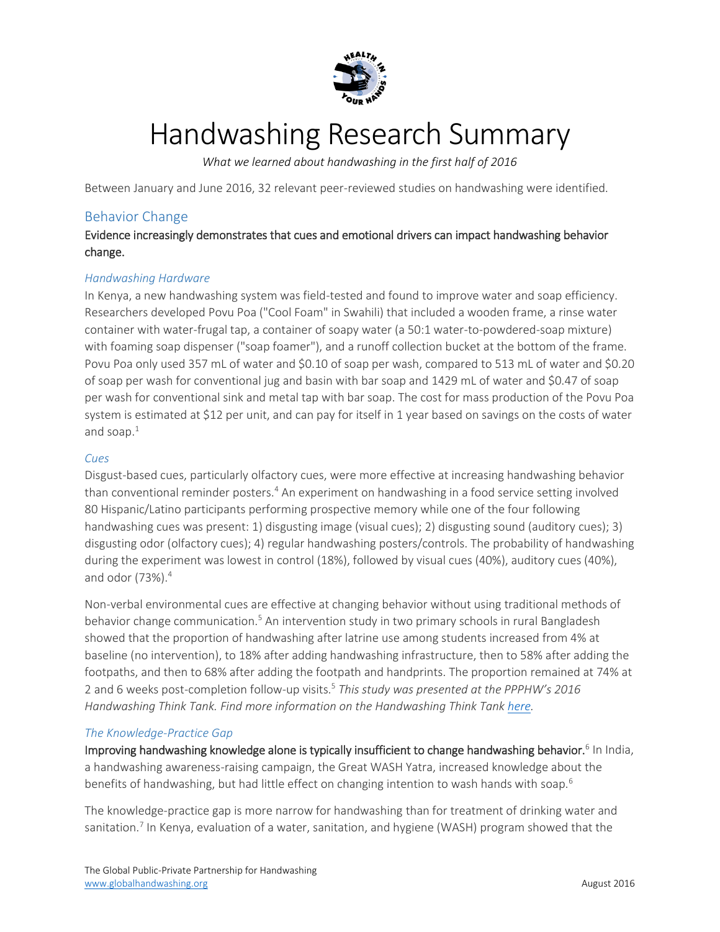

# Handwashing Research Summary

*What we learned about handwashing in the first half of 2016*

Between January and June 2016, 32 relevant peer-reviewed studies on handwashing were identified.

# Behavior Change

Evidence increasingly demonstrates that cues and emotional drivers can impact handwashing behavior change.

## *Handwashing Hardware*

In Kenya, a new handwashing system was field-tested and found to improve water and soap efficiency. Researchers developed Povu Poa ("Cool Foam" in Swahili) that included a wooden frame, a rinse water container with water-frugal tap, a container of soapy water (a 50:1 water-to-powdered-soap mixture) with foaming soap dispenser ("soap foamer"), and a runoff collection bucket at the bottom of the frame. Povu Poa only used 357 mL of water and \$0.10 of soap per wash, compared to 513 mL of water and \$0.20 of soap per wash for conventional jug and basin with bar soap and 1429 mL of water and \$0.47 of soap per wash for conventional sink and metal tap with bar soap. The cost for mass production of the Povu Poa system is estimated at \$12 per unit, and can pay for itself in 1 year based on savings on the costs of water and soap. $1$ 

## *Cues*

Disgust-based cues, particularly olfactory cues, were more effective at increasing handwashing behavior than conventional reminder posters.<sup>4</sup> An experiment on handwashing in a food service setting involved 80 Hispanic/Latino participants performing prospective memory while one of the four following handwashing cues was present: 1) disgusting image (visual cues); 2) disgusting sound (auditory cues); 3) disgusting odor (olfactory cues); 4) regular handwashing posters/controls. The probability of handwashing during the experiment was lowest in control (18%), followed by visual cues (40%), auditory cues (40%), and odor (73%).<sup>4</sup>

Non-verbal environmental cues are effective at changing behavior without using traditional methods of behavior change communication.<sup>5</sup> An intervention study in two primary schools in rural Bangladesh showed that the proportion of handwashing after latrine use among students increased from 4% at baseline (no intervention), to 18% after adding handwashing infrastructure, then to 58% after adding the footpaths, and then to 68% after adding the footpath and handprints. The proportion remained at 74% at 2 and 6 weeks post-completion follow-up visits.<sup>5</sup> *This study was presented at the PPPHW's 2016 Handwashing Think Tank. Find more information on the Handwashing Think Tank [here.](http://globalhandwashing.org/learn/key-topics/think-tank/)*

## *The Knowledge-Practice Gap*

Improving handwashing knowledge alone is typically insufficient to change handwashing behavior.<sup>6</sup> In India, a handwashing awareness-raising campaign, the Great WASH Yatra, increased knowledge about the benefits of handwashing, but had little effect on changing intention to wash hands with soap.<sup>6</sup>

The knowledge-practice gap is more narrow for handwashing than for treatment of drinking water and sanitation.<sup>7</sup> In Kenya, evaluation of a water, sanitation, and hygiene (WASH) program showed that the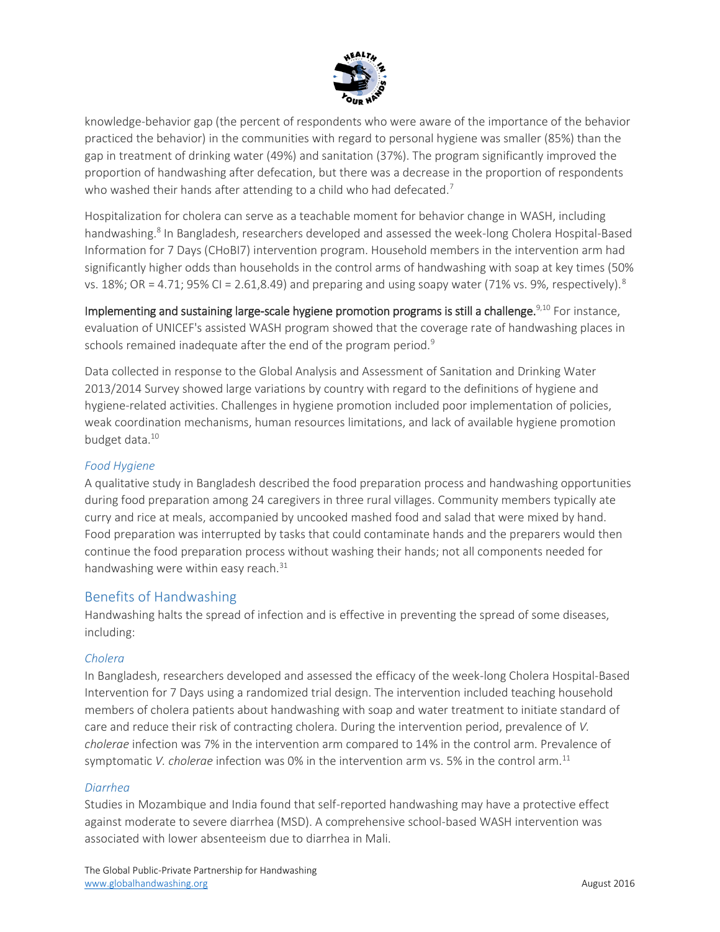

knowledge-behavior gap (the percent of respondents who were aware of the importance of the behavior practiced the behavior) in the communities with regard to personal hygiene was smaller (85%) than the gap in treatment of drinking water (49%) and sanitation (37%). The program significantly improved the proportion of handwashing after defecation, but there was a decrease in the proportion of respondents who washed their hands after attending to a child who had defecated.<sup>7</sup>

Hospitalization for cholera can serve as a teachable moment for behavior change in WASH, including handwashing.<sup>8</sup> In Bangladesh, researchers developed and assessed the week-long Cholera Hospital-Based Information for 7 Days (CHoBI7) intervention program. Household members in the intervention arm had significantly higher odds than households in the control arms of handwashing with soap at key times (50% vs. 18%; OR = 4.71; 95% CI = 2.61,8.49) and preparing and using soapy water (71% vs. 9%, respectively).<sup>8</sup>

Implementing and sustaining large-scale hygiene promotion programs is still a challenge.<sup>9,10</sup> For instance, evaluation of UNICEF's assisted WASH program showed that the coverage rate of handwashing places in schools remained inadequate after the end of the program period.<sup>9</sup>

Data collected in response to the Global Analysis and Assessment of Sanitation and Drinking Water 2013/2014 Survey showed large variations by country with regard to the definitions of hygiene and hygiene-related activities. Challenges in hygiene promotion included poor implementation of policies, weak coordination mechanisms, human resources limitations, and lack of available hygiene promotion budget data.<sup>10</sup>

## *Food Hygiene*

A qualitative study in Bangladesh described the food preparation process and handwashing opportunities during food preparation among 24 caregivers in three rural villages. Community members typically ate curry and rice at meals, accompanied by uncooked mashed food and salad that were mixed by hand. Food preparation was interrupted by tasks that could contaminate hands and the preparers would then continue the food preparation process without washing their hands; not all components needed for handwashing were within easy reach.<sup>31</sup>

## Benefits of Handwashing

Handwashing halts the spread of infection and is effective in preventing the spread of some diseases, including:

#### *Cholera*

In Bangladesh, researchers developed and assessed the efficacy of the week-long Cholera Hospital-Based Intervention for 7 Days using a randomized trial design. The intervention included teaching household members of cholera patients about handwashing with soap and water treatment to initiate standard of care and reduce their risk of contracting cholera. During the intervention period, prevalence of *V. cholerae* infection was 7% in the intervention arm compared to 14% in the control arm. Prevalence of symptomatic *V. cholerae* infection was 0% in the intervention arm vs. 5% in the control arm.<sup>11</sup>

#### *Diarrhea*

Studies in Mozambique and India found that self-reported handwashing may have a protective effect against moderate to severe diarrhea (MSD). A comprehensive school-based WASH intervention was associated with lower absenteeism due to diarrhea in Mali.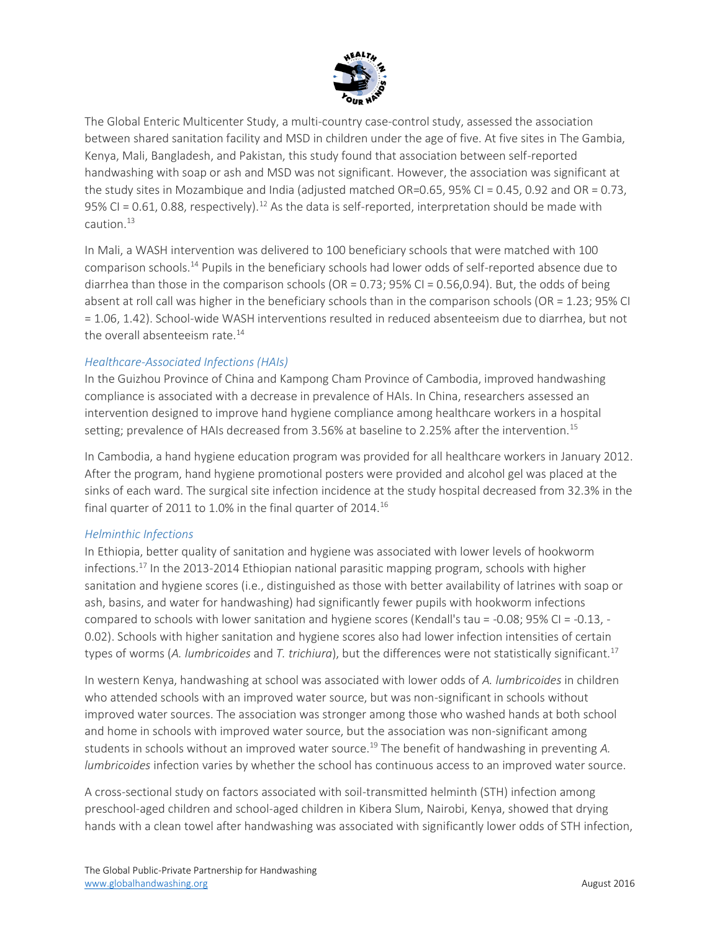

The Global Enteric Multicenter Study, a multi-country case-control study, assessed the association between shared sanitation facility and MSD in children under the age of five. At five sites in The Gambia, Kenya, Mali, Bangladesh, and Pakistan, this study found that association between self-reported handwashing with soap or ash and MSD was not significant. However, the association was significant at the study sites in Mozambique and India (adjusted matched OR=0.65, 95% CI = 0.45, 0.92 and OR = 0.73, 95% CI = 0.61, 0.88, respectively).<sup>12</sup> As the data is self-reported, interpretation should be made with  $c$ aution $13$ 

In Mali, a WASH intervention was delivered to 100 beneficiary schools that were matched with 100 comparison schools.<sup>14</sup> Pupils in the beneficiary schools had lower odds of self-reported absence due to diarrhea than those in the comparison schools (OR = 0.73; 95% CI = 0.56,0.94). But, the odds of being absent at roll call was higher in the beneficiary schools than in the comparison schools (OR = 1.23; 95% CI = 1.06, 1.42). School-wide WASH interventions resulted in reduced absenteeism due to diarrhea, but not the overall absenteeism rate. $^{14}$ 

## *Healthcare-Associated Infections (HAIs)*

In the Guizhou Province of China and Kampong Cham Province of Cambodia, improved handwashing compliance is associated with a decrease in prevalence of HAIs. In China, researchers assessed an intervention designed to improve hand hygiene compliance among healthcare workers in a hospital setting; prevalence of HAIs decreased from 3.56% at baseline to 2.25% after the intervention.<sup>15</sup>

In Cambodia, a hand hygiene education program was provided for all healthcare workers in January 2012. After the program, hand hygiene promotional posters were provided and alcohol gel was placed at the sinks of each ward. The surgical site infection incidence at the study hospital decreased from 32.3% in the final quarter of 2011 to 1.0% in the final quarter of 2014.<sup>16</sup>

## *Helminthic Infections*

In Ethiopia, better quality of sanitation and hygiene was associated with lower levels of hookworm infections.<sup>17</sup> In the 2013-2014 Ethiopian national parasitic mapping program, schools with higher sanitation and hygiene scores (i.e., distinguished as those with better availability of latrines with soap or ash, basins, and water for handwashing) had significantly fewer pupils with hookworm infections compared to schools with lower sanitation and hygiene scores (Kendall's tau = -0.08; 95% CI = -0.13, - 0.02). Schools with higher sanitation and hygiene scores also had lower infection intensities of certain types of worms (*A. lumbricoides* and *T. trichiura*), but the differences were not statistically significant.<sup>17</sup>

In western Kenya, handwashing at school was associated with lower odds of *A. lumbricoides* in children who attended schools with an improved water source, but was non-significant in schools without improved water sources. The association was stronger among those who washed hands at both school and home in schools with improved water source, but the association was non-significant among students in schools without an improved water source.<sup>19</sup> The benefit of handwashing in preventing A. *lumbricoides* infection varies by whether the school has continuous access to an improved water source.

A cross-sectional study on factors associated with soil-transmitted helminth (STH) infection among preschool-aged children and school-aged children in Kibera Slum, Nairobi, Kenya, showed that drying hands with a clean towel after handwashing was associated with significantly lower odds of STH infection,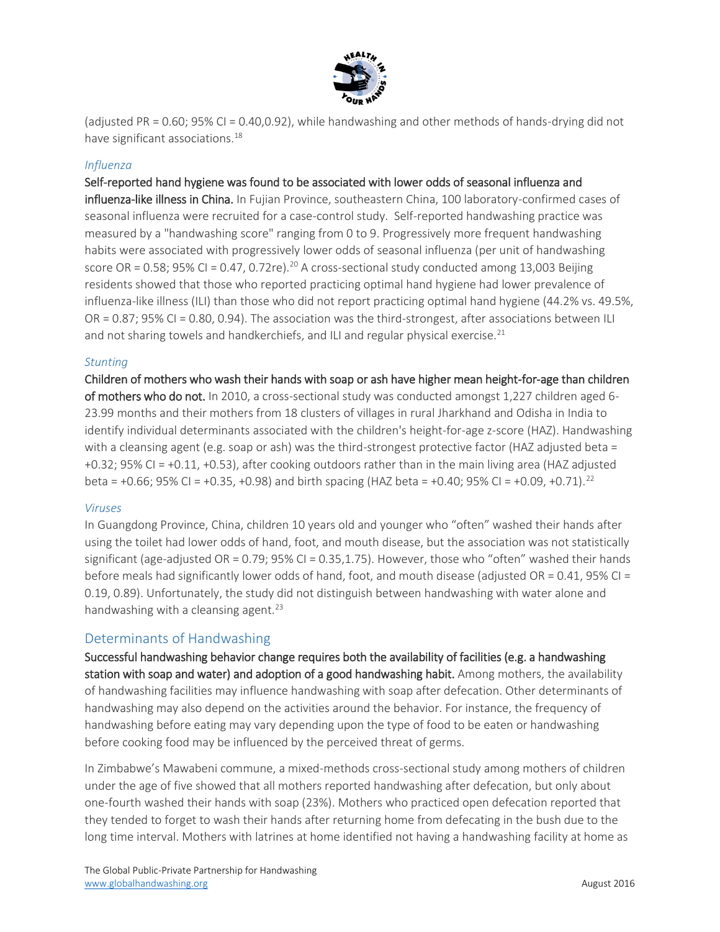

(adjusted PR = 0.60; 95% CI = 0.40,0.92), while handwashing and other methods of hands-drying did not have significant associations.<sup>18</sup>

#### *Influenza*

## Self-reported hand hygiene was found to be associated with lower odds of seasonal influenza and

influenza-like illness in China. In Fujian Province, southeastern China, 100 laboratory-confirmed cases of seasonal influenza were recruited for a case-control study. Self-reported handwashing practice was measured by a "handwashing score" ranging from 0 to 9. Progressively more frequent handwashing habits were associated with progressively lower odds of seasonal influenza (per unit of handwashing score OR = 0.58; 95% CI = 0.47, 0.72re).<sup>20</sup> A cross-sectional study conducted among 13,003 Beijing residents showed that those who reported practicing optimal hand hygiene had lower prevalence of influenza-like illness (ILI) than those who did not report practicing optimal hand hygiene (44.2% vs. 49.5%,  $OR = 0.87$ ; 95% CI = 0.80, 0.94). The association was the third-strongest, after associations between ILI and not sharing towels and handkerchiefs, and ILI and regular physical exercise. $^{21}$ 

#### *Stunting*

Children of mothers who wash their hands with soap or ash have higher mean height-for-age than children of mothers who do not. In 2010, a cross-sectional study was conducted amongst 1,227 children aged 6- 23.99 months and their mothers from 18 clusters of villages in rural Jharkhand and Odisha in India to identify individual determinants associated with the children's height-for-age z-score (HAZ). Handwashing with a cleansing agent (e.g. soap or ash) was the third-strongest protective factor (HAZ adjusted beta = +0.32; 95% CI = +0.11, +0.53), after cooking outdoors rather than in the main living area (HAZ adjusted beta = +0.66; 95% CI = +0.35, +0.98) and birth spacing (HAZ beta = +0.40; 95% CI = +0.09, +0.71).<sup>22</sup>

#### *Viruses*

In Guangdong Province, China, children 10 years old and younger who "often" washed their hands after using the toilet had lower odds of hand, foot, and mouth disease, but the association was not statistically significant (age-adjusted OR = 0.79; 95% CI = 0.35,1.75). However, those who "often" washed their hands before meals had significantly lower odds of hand, foot, and mouth disease (adjusted OR = 0.41, 95% CI = 0.19, 0.89). Unfortunately, the study did not distinguish between handwashing with water alone and handwashing with a cleansing agent.<sup>23</sup>

## Determinants of Handwashing

Successful handwashing behavior change requires both the availability of facilities (e.g. a handwashing station with soap and water) and adoption of a good handwashing habit. Among mothers, the availability of handwashing facilities may influence handwashing with soap after defecation. Other determinants of handwashing may also depend on the activities around the behavior. For instance, the frequency of handwashing before eating may vary depending upon the type of food to be eaten or handwashing before cooking food may be influenced by the perceived threat of germs.

In Zimbabwe's Mawabeni commune, a mixed-methods cross-sectional study among mothers of children under the age of five showed that all mothers reported handwashing after defecation, but only about one-fourth washed their hands with soap (23%). Mothers who practiced open defecation reported that they tended to forget to wash their hands after returning home from defecating in the bush due to the long time interval. Mothers with latrines at home identified not having a handwashing facility at home as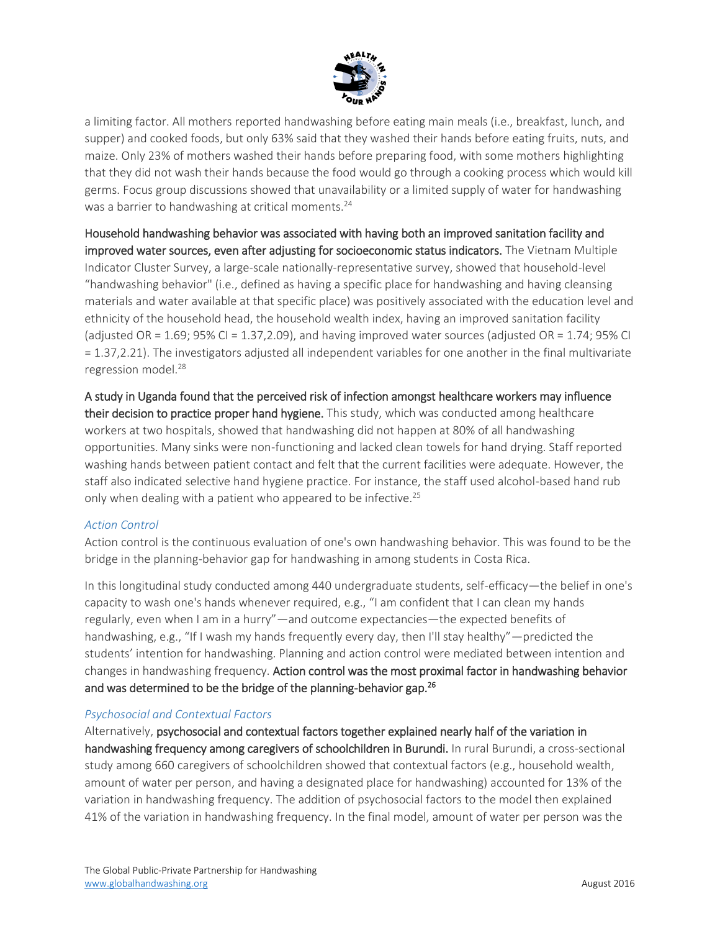

a limiting factor. All mothers reported handwashing before eating main meals (i.e., breakfast, lunch, and supper) and cooked foods, but only 63% said that they washed their hands before eating fruits, nuts, and maize. Only 23% of mothers washed their hands before preparing food, with some mothers highlighting that they did not wash their hands because the food would go through a cooking process which would kill germs. Focus group discussions showed that unavailability or a limited supply of water for handwashing was a barrier to handwashing at critical moments.<sup>24</sup>

Household handwashing behavior was associated with having both an improved sanitation facility and improved water sources, even after adjusting for socioeconomic status indicators. The Vietnam Multiple Indicator Cluster Survey, a large-scale nationally-representative survey, showed that household-level "handwashing behavior" (i.e., defined as having a specific place for handwashing and having cleansing materials and water available at that specific place) was positively associated with the education level and ethnicity of the household head, the household wealth index, having an improved sanitation facility (adjusted OR =  $1.69$ ; 95% CI =  $1.37$ , 2.09), and having improved water sources (adjusted OR =  $1.74$ ; 95% CI = 1.37,2.21). The investigators adjusted all independent variables for one another in the final multivariate regression model.<sup>28</sup>

A study in Uganda found that the perceived risk of infection amongst healthcare workers may influence their decision to practice proper hand hygiene. This study, which was conducted among healthcare workers at two hospitals, showed that handwashing did not happen at 80% of all handwashing opportunities. Many sinks were non-functioning and lacked clean towels for hand drying. Staff reported washing hands between patient contact and felt that the current facilities were adequate. However, the staff also indicated selective hand hygiene practice. For instance, the staff used alcohol-based hand rub only when dealing with a patient who appeared to be infective.<sup>25</sup>

#### *Action Control*

Action control is the continuous evaluation of one's own handwashing behavior. This was found to be the bridge in the planning-behavior gap for handwashing in among students in Costa Rica.

In this longitudinal study conducted among 440 undergraduate students, self-efficacy—the belief in one's capacity to wash one's hands whenever required, e.g., "I am confident that I can clean my hands regularly, even when I am in a hurry"—and outcome expectancies—the expected benefits of handwashing, e.g., "If I wash my hands frequently every day, then I'll stay healthy"—predicted the students' intention for handwashing. Planning and action control were mediated between intention and changes in handwashing frequency. Action control was the most proximal factor in handwashing behavior and was determined to be the bridge of the planning-behavior gap.<sup>26</sup>

#### *Psychosocial and Contextual Factors*

Alternatively, psychosocial and contextual factors together explained nearly half of the variation in handwashing frequency among caregivers of schoolchildren in Burundi. In rural Burundi, a cross-sectional study among 660 caregivers of schoolchildren showed that contextual factors (e.g., household wealth, amount of water per person, and having a designated place for handwashing) accounted for 13% of the variation in handwashing frequency. The addition of psychosocial factors to the model then explained 41% of the variation in handwashing frequency. In the final model, amount of water per person was the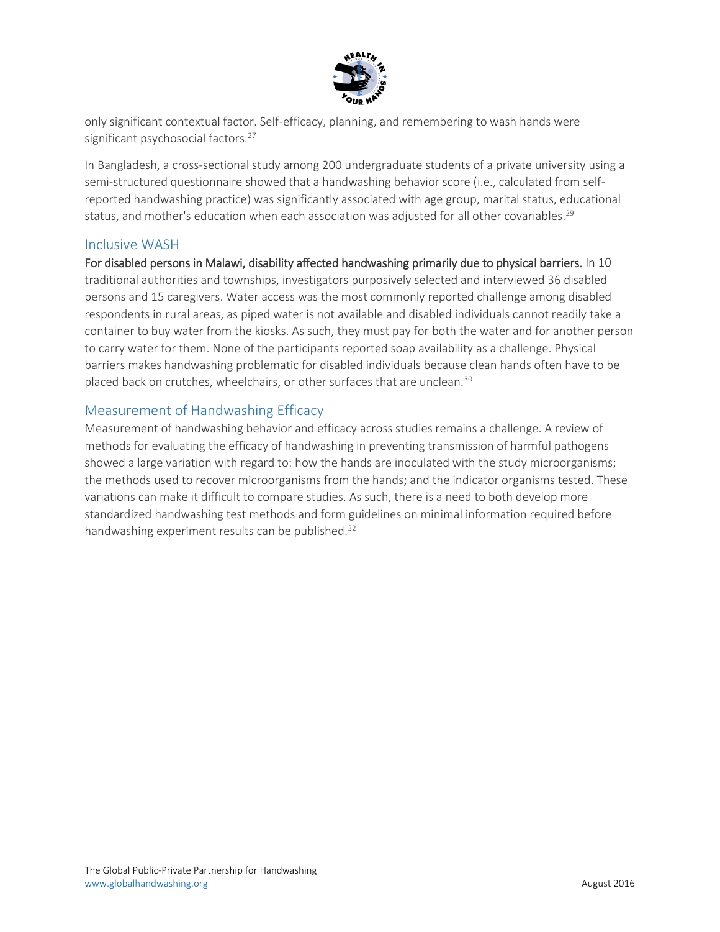

only significant contextual factor. Self-efficacy, planning, and remembering to wash hands were significant psychosocial factors.<sup>27</sup>

In Bangladesh, a cross-sectional study among 200 undergraduate students of a private university using a semi-structured questionnaire showed that a handwashing behavior score (i.e., calculated from selfreported handwashing practice) was significantly associated with age group, marital status, educational status, and mother's education when each association was adjusted for all other covariables.<sup>29</sup>

# Inclusive WASH

For disabled persons in Malawi, disability affected handwashing primarily due to physical barriers. In 10 traditional authorities and townships, investigators purposively selected and interviewed 36 disabled persons and 15 caregivers. Water access was the most commonly reported challenge among disabled respondents in rural areas, as piped water is not available and disabled individuals cannot readily take a container to buy water from the kiosks. As such, they must pay for both the water and for another person to carry water for them. None of the participants reported soap availability as a challenge. Physical barriers makes handwashing problematic for disabled individuals because clean hands often have to be placed back on crutches, wheelchairs, or other surfaces that are unclean.<sup>30</sup>

# Measurement of Handwashing Efficacy

Measurement of handwashing behavior and efficacy across studies remains a challenge. A review of methods for evaluating the efficacy of handwashing in preventing transmission of harmful pathogens showed a large variation with regard to: how the hands are inoculated with the study microorganisms; the methods used to recover microorganisms from the hands; and the indicator organisms tested. These variations can make it difficult to compare studies. As such, there is a need to both develop more standardized handwashing test methods and form guidelines on minimal information required before handwashing experiment results can be published.<sup>32</sup>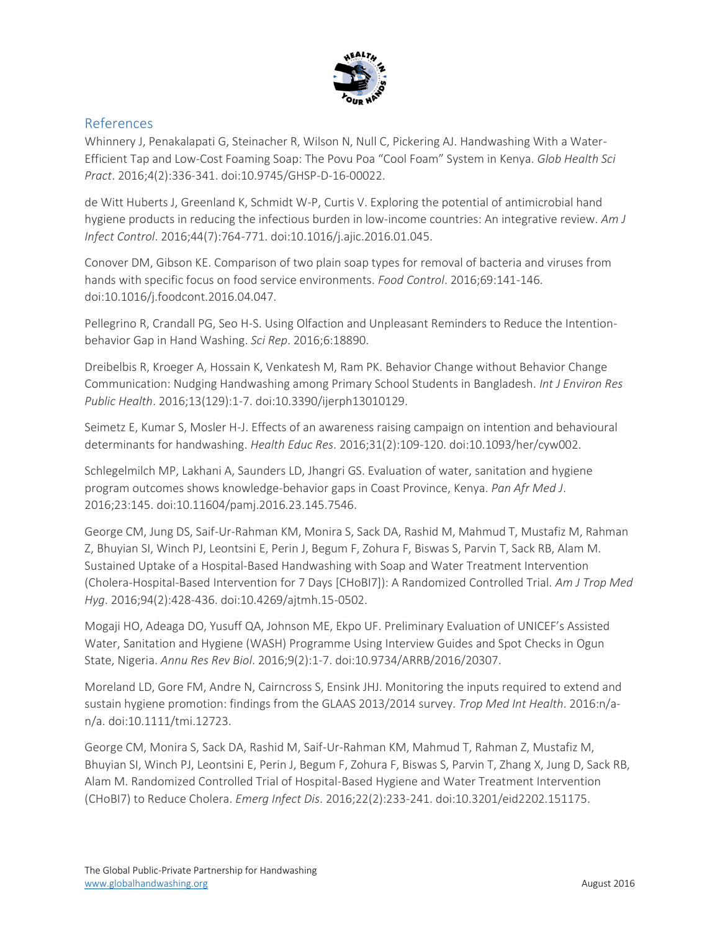

# References

Whinnery J, Penakalapati G, Steinacher R, Wilson N, Null C, Pickering AJ. Handwashing With a Water-Efficient Tap and Low-Cost Foaming Soap: The Povu Poa "Cool Foam" System in Kenya. *Glob Health Sci Pract*. 2016;4(2):336-341. doi:10.9745/GHSP-D-16-00022.

de Witt Huberts J, Greenland K, Schmidt W-P, Curtis V. Exploring the potential of antimicrobial hand hygiene products in reducing the infectious burden in low-income countries: An integrative review. *Am J Infect Control*. 2016;44(7):764-771. doi:10.1016/j.ajic.2016.01.045.

Conover DM, Gibson KE. Comparison of two plain soap types for removal of bacteria and viruses from hands with specific focus on food service environments. *Food Control*. 2016;69:141-146. doi:10.1016/j.foodcont.2016.04.047.

Pellegrino R, Crandall PG, Seo H-S. Using Olfaction and Unpleasant Reminders to Reduce the Intentionbehavior Gap in Hand Washing. *Sci Rep*. 2016;6:18890.

Dreibelbis R, Kroeger A, Hossain K, Venkatesh M, Ram PK. Behavior Change without Behavior Change Communication: Nudging Handwashing among Primary School Students in Bangladesh. *Int J Environ Res Public Health*. 2016;13(129):1-7. doi:10.3390/ijerph13010129.

Seimetz E, Kumar S, Mosler H-J. Effects of an awareness raising campaign on intention and behavioural determinants for handwashing. *Health Educ Res*. 2016;31(2):109-120. doi:10.1093/her/cyw002.

Schlegelmilch MP, Lakhani A, Saunders LD, Jhangri GS. Evaluation of water, sanitation and hygiene program outcomes shows knowledge-behavior gaps in Coast Province, Kenya. *Pan Afr Med J*. 2016;23:145. doi:10.11604/pamj.2016.23.145.7546.

George CM, Jung DS, Saif-Ur-Rahman KM, Monira S, Sack DA, Rashid M, Mahmud T, Mustafiz M, Rahman Z, Bhuyian SI, Winch PJ, Leontsini E, Perin J, Begum F, Zohura F, Biswas S, Parvin T, Sack RB, Alam M. Sustained Uptake of a Hospital-Based Handwashing with Soap and Water Treatment Intervention (Cholera-Hospital-Based Intervention for 7 Days [CHoBI7]): A Randomized Controlled Trial. *Am J Trop Med Hyg*. 2016;94(2):428-436. doi:10.4269/ajtmh.15-0502.

Mogaji HO, Adeaga DO, Yusuff QA, Johnson ME, Ekpo UF. Preliminary Evaluation of UNICEF's Assisted Water, Sanitation and Hygiene (WASH) Programme Using Interview Guides and Spot Checks in Ogun State, Nigeria. *Annu Res Rev Biol*. 2016;9(2):1-7. doi:10.9734/ARRB/2016/20307.

Moreland LD, Gore FM, Andre N, Cairncross S, Ensink JHJ. Monitoring the inputs required to extend and sustain hygiene promotion: findings from the GLAAS 2013/2014 survey. *Trop Med Int Health*. 2016:n/an/a. doi:10.1111/tmi.12723.

George CM, Monira S, Sack DA, Rashid M, Saif-Ur-Rahman KM, Mahmud T, Rahman Z, Mustafiz M, Bhuyian SI, Winch PJ, Leontsini E, Perin J, Begum F, Zohura F, Biswas S, Parvin T, Zhang X, Jung D, Sack RB, Alam M. Randomized Controlled Trial of Hospital-Based Hygiene and Water Treatment Intervention (CHoBI7) to Reduce Cholera. *Emerg Infect Dis*. 2016;22(2):233-241. doi:10.3201/eid2202.151175.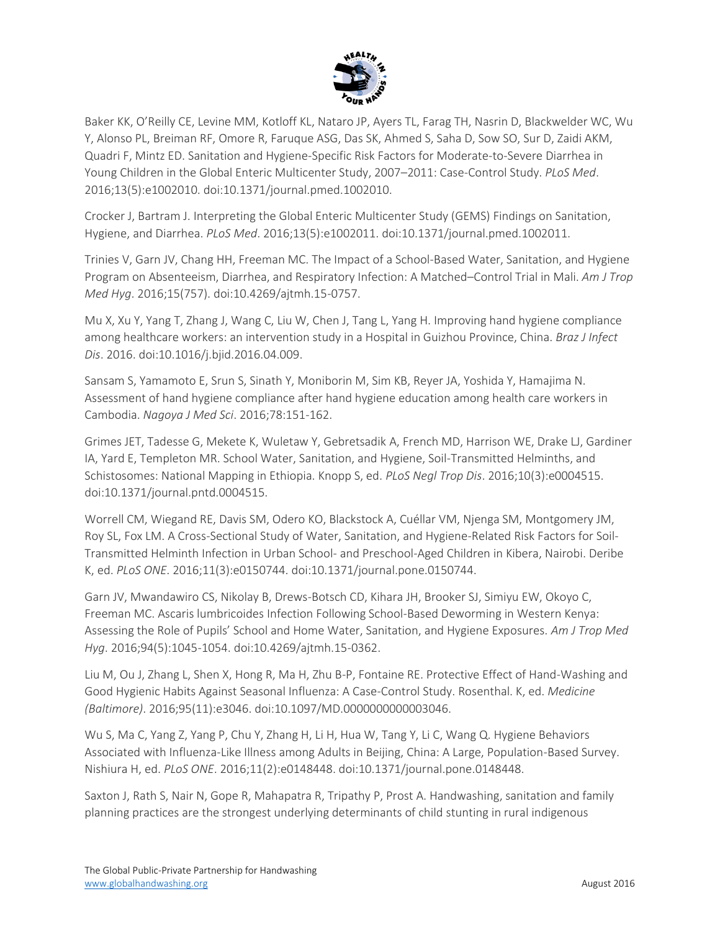

Baker KK, O'Reilly CE, Levine MM, Kotloff KL, Nataro JP, Ayers TL, Farag TH, Nasrin D, Blackwelder WC, Wu Y, Alonso PL, Breiman RF, Omore R, Faruque ASG, Das SK, Ahmed S, Saha D, Sow SO, Sur D, Zaidi AKM, Quadri F, Mintz ED. Sanitation and Hygiene-Specific Risk Factors for Moderate-to-Severe Diarrhea in Young Children in the Global Enteric Multicenter Study, 2007–2011: Case-Control Study. *PLoS Med*. 2016;13(5):e1002010. doi:10.1371/journal.pmed.1002010.

Crocker J, Bartram J. Interpreting the Global Enteric Multicenter Study (GEMS) Findings on Sanitation, Hygiene, and Diarrhea. *PLoS Med*. 2016;13(5):e1002011. doi:10.1371/journal.pmed.1002011.

Trinies V, Garn JV, Chang HH, Freeman MC. The Impact of a School-Based Water, Sanitation, and Hygiene Program on Absenteeism, Diarrhea, and Respiratory Infection: A Matched–Control Trial in Mali. *Am J Trop Med Hyg*. 2016;15(757). doi:10.4269/ajtmh.15-0757.

Mu X, Xu Y, Yang T, Zhang J, Wang C, Liu W, Chen J, Tang L, Yang H. Improving hand hygiene compliance among healthcare workers: an intervention study in a Hospital in Guizhou Province, China. *Braz J Infect Dis*. 2016. doi:10.1016/j.bjid.2016.04.009.

Sansam S, Yamamoto E, Srun S, Sinath Y, Moniborin M, Sim KB, Reyer JA, Yoshida Y, Hamajima N. Assessment of hand hygiene compliance after hand hygiene education among health care workers in Cambodia. *Nagoya J Med Sci*. 2016;78:151-162.

Grimes JET, Tadesse G, Mekete K, Wuletaw Y, Gebretsadik A, French MD, Harrison WE, Drake LJ, Gardiner IA, Yard E, Templeton MR. School Water, Sanitation, and Hygiene, Soil-Transmitted Helminths, and Schistosomes: National Mapping in Ethiopia. Knopp S, ed. *PLoS Negl Trop Dis*. 2016;10(3):e0004515. doi:10.1371/journal.pntd.0004515.

Worrell CM, Wiegand RE, Davis SM, Odero KO, Blackstock A, Cuéllar VM, Njenga SM, Montgomery JM, Roy SL, Fox LM. A Cross-Sectional Study of Water, Sanitation, and Hygiene-Related Risk Factors for Soil-Transmitted Helminth Infection in Urban School- and Preschool-Aged Children in Kibera, Nairobi. Deribe K, ed. *PLoS ONE*. 2016;11(3):e0150744. doi:10.1371/journal.pone.0150744.

Garn JV, Mwandawiro CS, Nikolay B, Drews-Botsch CD, Kihara JH, Brooker SJ, Simiyu EW, Okoyo C, Freeman MC. Ascaris lumbricoides Infection Following School-Based Deworming in Western Kenya: Assessing the Role of Pupils' School and Home Water, Sanitation, and Hygiene Exposures. *Am J Trop Med Hyg*. 2016;94(5):1045-1054. doi:10.4269/ajtmh.15-0362.

Liu M, Ou J, Zhang L, Shen X, Hong R, Ma H, Zhu B-P, Fontaine RE. Protective Effect of Hand-Washing and Good Hygienic Habits Against Seasonal Influenza: A Case-Control Study. Rosenthal. K, ed. *Medicine (Baltimore)*. 2016;95(11):e3046. doi:10.1097/MD.0000000000003046.

Wu S, Ma C, Yang Z, Yang P, Chu Y, Zhang H, Li H, Hua W, Tang Y, Li C, Wang Q. Hygiene Behaviors Associated with Influenza-Like Illness among Adults in Beijing, China: A Large, Population-Based Survey. Nishiura H, ed. *PLoS ONE*. 2016;11(2):e0148448. doi:10.1371/journal.pone.0148448.

Saxton J, Rath S, Nair N, Gope R, Mahapatra R, Tripathy P, Prost A. Handwashing, sanitation and family planning practices are the strongest underlying determinants of child stunting in rural indigenous